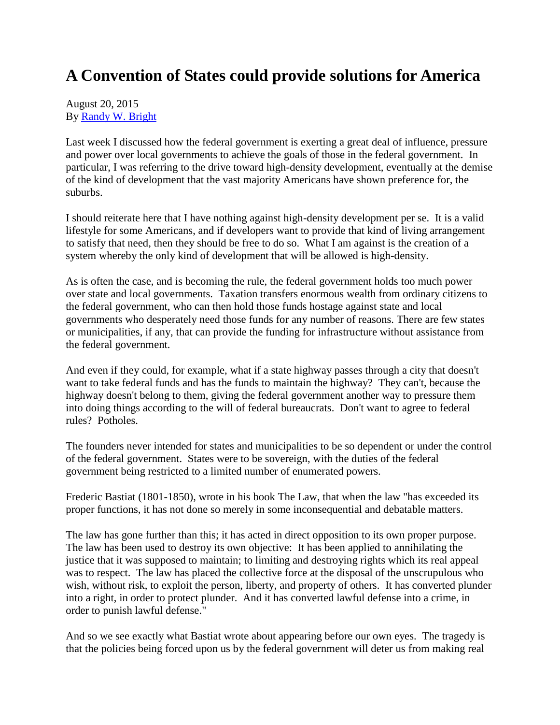## **A Convention of States could provide solutions for America**

## August 20, 2015 By [Randy W. Bright](http://www.tulsabeacon.com/author/slug-o6yd1v)

Last week I discussed how the federal government is exerting a great deal of influence, pressure and power over local governments to achieve the goals of those in the federal government. In particular, I was referring to the drive toward high-density development, eventually at the demise of the kind of development that the vast majority Americans have shown preference for, the suburbs.

I should reiterate here that I have nothing against high-density development per se. It is a valid lifestyle for some Americans, and if developers want to provide that kind of living arrangement to satisfy that need, then they should be free to do so. What I am against is the creation of a system whereby the only kind of development that will be allowed is high-density.

As is often the case, and is becoming the rule, the federal government holds too much power over state and local governments. Taxation transfers enormous wealth from ordinary citizens to the federal government, who can then hold those funds hostage against state and local governments who desperately need those funds for any number of reasons. There are few states or municipalities, if any, that can provide the funding for infrastructure without assistance from the federal government.

And even if they could, for example, what if a state highway passes through a city that doesn't want to take federal funds and has the funds to maintain the highway? They can't, because the highway doesn't belong to them, giving the federal government another way to pressure them into doing things according to the will of federal bureaucrats. Don't want to agree to federal rules? Potholes.

The founders never intended for states and municipalities to be so dependent or under the control of the federal government. States were to be sovereign, with the duties of the federal government being restricted to a limited number of enumerated powers.

Frederic Bastiat (1801-1850), wrote in his book The Law, that when the law "has exceeded its proper functions, it has not done so merely in some inconsequential and debatable matters.

The law has gone further than this; it has acted in direct opposition to its own proper purpose. The law has been used to destroy its own objective: It has been applied to annihilating the justice that it was supposed to maintain; to limiting and destroying rights which its real appeal was to respect. The law has placed the collective force at the disposal of the unscrupulous who wish, without risk, to exploit the person, liberty, and property of others. It has converted plunder into a right, in order to protect plunder. And it has converted lawful defense into a crime, in order to punish lawful defense."

And so we see exactly what Bastiat wrote about appearing before our own eyes. The tragedy is that the policies being forced upon us by the federal government will deter us from making real